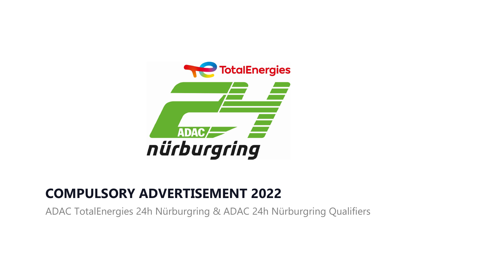

## **COMPULSORY ADVERTISEMENT 2022**

ADAC TotalEnergies 24h Nürburgring & ADAC 24h Nürburgring Qualifiers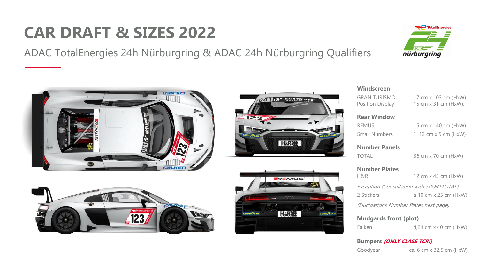## **CAR DRAFT & SIZES 2022**

ADAC TotalEnergies 24h Nürburgring & ADAC 24h Nürburgring Qualifiers





### **Windscreen**

GRAN TURISMO 17 cm x 103 cm (HxW) Position Display 15 cm x 31 cm (HxW).

**Rear Window**

REMUS 15 cm x 140 cm (HxW) Small Numbers 1: 12 cm x 5 cm (HxW)

**Mudgards front (plot)** Falken 4,24 cm x 40 cm (HxW)

**Number Panels**

TOTAL 36 cm x 70 cm (HxW)

**Number Plates** 

H&R 12 cm x 45 cm (HxW)

Exception (Consultation with SPORTTOTAL) 2 Stickers à 10 cm x 25 cm (HxW)

(Elucidations Number Plates next page)

**Bumpers (ONLY CLASS TCR!)**

Goodyear ca. 6 cm x 32,5 cm (HxW)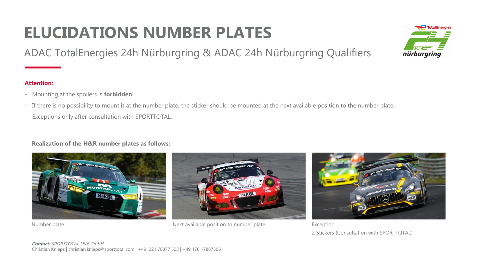# **ELUCIDATIONS NUMBER PLATES**

ADAC TotalEnergies 24h Nürburgring & ADAC 24h Nürburgring Qualifiers

### **Attention:**

- Mounting at the spoilers is **forbidden**!
- If there is no possibility to mount it at the number plate, the sticker should be mounted at the next available position to the number plate.
- Exceptions only after consultation with SPORTTOTAL.

### **Realization of the H&R number plates as follows:**





Number plate **Next available position to number plate** Exception:

2 Stickers (Consultation with SPORTTOTAL)

### **Contact:** SPORTTOTAL LIVE GmbH Christian Knieps | christian.knieps@sporttotal.com | +49 221 78877 503 | +49 176 17887506